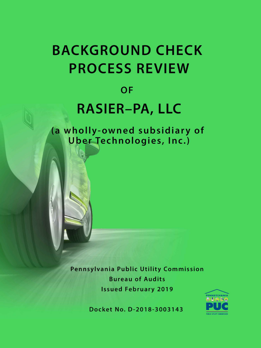# **BACKGROUND CHECK PROCESS REVIEW**

### OF

## **RASIER-PA, LLC**

(a wholly-owned subsidiary of Uber Technologies, Inc.)

> Pennsylvania Public Utility Commission **Bureau of Audits Issued February 2019**



Docket No. D-2018-3003143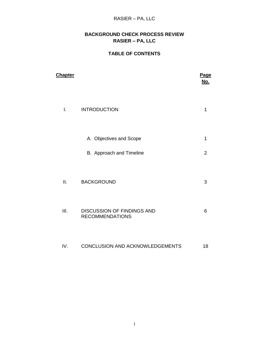#### RASIER – PA, LLC

#### **BACKGROUND CHECK PROCESS REVIEW RASIER – PA, LLC**

#### **TABLE OF CONTENTS**

| <b>Chapter</b> |                                                             | <b>Page</b><br><u>No.</u> |
|----------------|-------------------------------------------------------------|---------------------------|
| I.             | <b>INTRODUCTION</b>                                         | 1                         |
|                | A. Objectives and Scope                                     | 1                         |
|                | B. Approach and Timeline                                    | $\overline{2}$            |
| ΙΙ.            | <b>BACKGROUND</b>                                           | 3                         |
| III.           | <b>DISCUSSION OF FINDINGS AND</b><br><b>RECOMMENDATIONS</b> | 6                         |
| IV.            | <b>CONCLUSION AND ACKNOWLEDGEMENTS</b>                      | 18                        |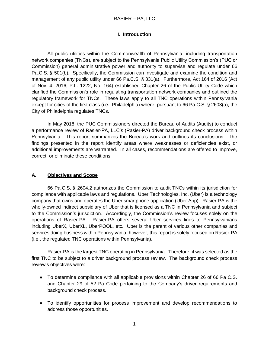#### **I. Introduction**

All public utilities within the Commonwealth of Pennsylvania, including transportation network companies (TNCs), are subject to the Pennsylvania Public Utility Commission's (PUC or Commission) general administrative power and authority to supervise and regulate under 66 Pa.C.S. § 501(b). Specifically, the Commission can investigate and examine the condition and management of any public utility under 66 Pa.C.S. § 331(a). Furthermore, Act 164 of 2016 (Act of Nov. 4, 2016, P.L. 1222, No. 164) established Chapter 26 of the Public Utility Code which clarified the Commission's role in regulating transportation network companies and outlined the regulatory framework for TNCs. These laws apply to all TNC operations within Pennsylvania except for cities of the first class (i.e., Philadelphia) where, pursuant to 66 Pa.C.S. § 2603(a), the City of Philadelphia regulates TNCs.

In May 2018, the PUC Commissioners directed the Bureau of Audits (Audits) to conduct a performance review of Rasier-PA, LLC's (Rasier-PA) driver background check process within Pennsylvania. This report summarizes the Bureau's work and outlines its conclusions. The findings presented in the report identify areas where weaknesses or deficiencies exist, or additional improvements are warranted. In all cases, recommendations are offered to improve, correct, or eliminate these conditions.

#### **A. Objectives and Scope**

66 Pa.C.S. § 2604.2 authorizes the Commission to audit TNCs within its jurisdiction for compliance with applicable laws and regulations. Uber Technologies, Inc. (Uber) is a technology company that owns and operates the Uber smartphone application (Uber App). Rasier-PA is the wholly-owned indirect subsidiary of Uber that is licensed as a TNC in Pennsylvania and subject to the Commission's jurisdiction. Accordingly, the Commission's review focuses solely on the operations of Rasier-PA. Rasier-PA offers several Uber services lines to Pennsylvanians including UberX, UberXL, UberPOOL, etc. Uber is the parent of various other companies and services doing business within Pennsylvania; however, this report is solely focused on Rasier-PA (i.e., the regulated TNC operations within Pennsylvania).

Rasier-PA is the largest TNC operating in Pennsylvania. Therefore, it was selected as the first TNC to be subject to a driver background process review. The background check process review's objectives were:

- To determine compliance with all applicable provisions within Chapter 26 of 66 Pa C.S. and Chapter 29 of 52 Pa Code pertaining to the Company's driver requirements and background check process.
- To identify opportunities for process improvement and develop recommendations to address those opportunities.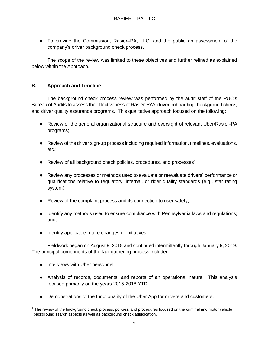● To provide the Commission, Rasier–PA, LLC, and the public an assessment of the company's driver background check process.

The scope of the review was limited to these objectives and further refined as explained below within the Approach.

#### **B. Approach and Timeline**

 The background check process review was performed by the audit staff of the PUC's Bureau of Audits to assess the effectiveness of Rasier-PA's driver onboarding, background check, and driver quality assurance programs. This qualitative approach focused on the following:

- Review of the general organizational structure and oversight of relevant Uber/Rasier-PA programs;
- Review of the driver sign-up process including required information, timelines, evaluations, etc.;
- Review of all background check policies, procedures, and processes<sup>1</sup>;
- Review any processes or methods used to evaluate or reevaluate drivers' performance or qualifications relative to regulatory, internal, or rider quality standards (e.g., star rating system);
- Review of the complaint process and its connection to user safety;
- Identify any methods used to ensure compliance with Pennsylvania laws and regulations; and,
- Identify applicable future changes or initiatives.

Fieldwork began on August 9, 2018 and continued intermittently through January 9, 2019. The principal components of the fact gathering process included:

• Interviews with Uber personnel.

- Analysis of records, documents, and reports of an operational nature. This analysis focused primarily on the years 2015-2018 YTD.
- Demonstrations of the functionality of the Uber App for drivers and customers.

 $1$  The review of the background check process, policies, and procedures focused on the criminal and motor vehicle background search aspects as well as background check adjudication.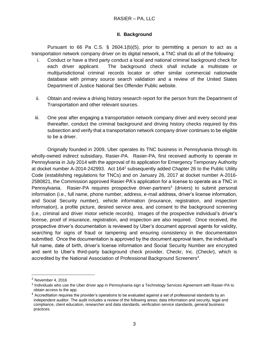#### **II. Background**

Pursuant to 66 Pa C.S.  $\S$  2604.1(b)(5), prior to permitting a person to act as a transportation network company driver on its digital network, a TNC shall do all of the following:

- i. Conduct or have a third party conduct a local and national criminal background check for each driver applicant. The background check shall include a multistate or multijurisdictional criminal records locator or other similar commercial nationwide database with primary source search validation and a review of the United States Department of Justice National Sex Offender Public website.
- ii. Obtain and review a driving history research report for the person from the Department of Transportation and other relevant sources.
- iii. One year after engaging a transportation network company driver and every second year thereafter, conduct the criminal background and driving history checks required by this subsection and verify that a transportation network company driver continues to be eligible to be a driver.

Originally founded in 2009, Uber operates its TNC business in Pennsylvania through its wholly-owned indirect subsidiary, Rasier-PA. Rasier-PA, first received authority to operate in Pennsylvania in July 2014 with the approval of its application for Emergency Temporary Authority at docket number A-2014-242993. Act 164<sup>2</sup> subsequently added Chapter 26 to the Public Utility Code (establishing regulations for TNCs) and on January 26, 2017 at docket number A-2016- 2580821, the Commission approved Rasier-PA's application for a license to operate as a TNC in Pennsylvania. Rasier-PA requires prospective driver-partners<sup>3</sup> (drivers) to submit personal information (i.e., full name, phone number, address, e-mail address, driver's license information, and Social Security number), vehicle information (insurance, registration, and inspection information), a profile picture, desired service area, and consent to the background screening (i.e., criminal and driver motor vehicle records). Images of the prospective individual's driver's license, proof of insurance, registration, and inspection are also required. Once received, the prospective driver's documentation is reviewed by Uber's document approval agents for validity, searching for signs of fraud or tampering and ensuring consistency in the documentation submitted. Once the documentation is approved by the document approval team, the individual's full name, date of birth, driver's license information and Social Security Number are encrypted and sent to Uber's third-party background check provider, Checkr, Inc. (Checkr), which is accredited by the National Association of Professional Background Screeners<sup>4</sup>.

 $<sup>2</sup>$  November 4, 2016</sup>

<sup>&</sup>lt;sup>3</sup> Individuals who use the Uber driver app in Pennsylvania sign a Technology Services Agreement with Rasier-PA to obtain access to the app.

 $4$  Accreditation requires the provider's operations to be evaluated against a set of professional standards by an independent auditor. The audit includes a review of the following areas: data information and security, legal and compliance, client education, researcher and data standards, verification service standards, general business practices.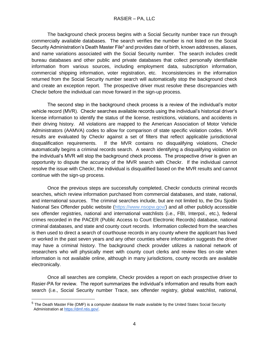The background check process begins with a Social Security number trace run through commercially available databases. The search verifies the number is not listed on the Social Security Administration's Death Master File<sup>5</sup> and provides date of birth, known addresses, aliases, and name variations associated with the Social Security number. The search includes credit bureau databases and other public and private databases that collect personally identifiable information from various sources, including employment data, subscription information, commercial shipping information, voter registration, etc. Inconsistencies in the information returned from the Social Security number search will automatically stop the background check and create an exception report. The prospective driver must resolve these discrepancies with Checkr before the individual can move forward in the sign-up process.

The second step in the background check process is a review of the individual's motor vehicle record (MVR). Checkr searches available records using the individual's historical driver's license information to identify the status of the license, restrictions, violations, and accidents in their driving history. All violations are mapped to the American Association of Motor Vehicle Administrators (AAMVA) codes to allow for comparison of state specific violation codes. MVR results are evaluated by Checkr against a set of filters that reflect applicable jurisdictional disqualification requirements. If the MVR contains no disqualifying violations, Checkr automatically begins a criminal records search. A search identifying a disqualifying violation on the individual's MVR will stop the background check process. The prospective driver is given an opportunity to dispute the accuracy of the MVR search with Checkr. If the individual cannot resolve the issue with Checkr, the individual is disqualified based on the MVR results and cannot continue with the sign-up process.

 Once the previous steps are successfully completed, Checkr conducts criminal records searches, which review information purchased from commercial databases, and state, national, and international sources. The criminal searches include, but are not limited to, the Dru Sjodin National Sex Offender public website [\(https://www.nsopw.gov/\)](https://www.nsopw.gov/) and all other publicly accessible sex offender registries, national and international watchlists (i.e., FBI, Interpol., etc.), federal crimes recorded in the PACER (Public Access to Court Electronic Records) database, national criminal databases, and state and county court records. Information collected from the searches is then used to direct a search of courthouse records in any county where the applicant has lived or worked in the past seven years and any other counties where information suggests the driver may have a criminal history. The background check provider utilizes a national network of researchers who will physically meet with county court clerks and review files on-site when information is not available online, although in many jurisdictions, county records are available electronically.

 Once all searches are complete, Checkr provides a report on each prospective driver to Rasier-PA for review. The report summarizes the individual's information and results from each search (i.e., Social Security number Trace, sex offender registry, global watchlist, national,

<sup>5</sup> The Death Master File (DMF) is a computer database file made available by the United States Social Security Administration [at](https://dmf.ntis.gov/) [https://dmf.ntis.gov/.](https://dmf.ntis.gov/)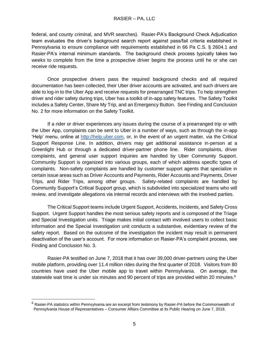federal, and county criminal, and MVR searches). Rasier-PA's Background Check Adjudication team evaluates the driver's background search report against pass/fail criteria established in Pennsylvania to ensure compliance with requirements established in 66 Pa C.S. § 2604.1 and Rasier-PA's internal minimum standards. The background check process typically takes two weeks to complete from the time a prospective driver begins the process until he or she can receive ride requests.

 Once prospective drivers pass the required background checks and all required documentation has been collected, their Uber driver accounts are activated, and such drivers are able to log-in to the Uber App and receive requests for prearranged TNC trips. To help strengthen driver and rider safety during trips, Uber has a toolkit of in-app safety features. The Safety Toolkit includes a Safety Center, Share My Trip, and an Emergency Button. See Finding and Conclusion No. 2 for more information on the Safety Toolkit.

 If a rider or driver experiences any issues during the course of a prearranged trip or with the Uber App, complaints can be sent to Uber in a number of ways, such as through the in-app 'Help' menu, online at [http://help.uber.com,](http://help.uber.com/) or, in the event of an urgent matter, via the Critical Support Response Line. In addition, drivers may get additional assistance in-person at a Greenlight Hub or through a dedicated driver-partner phone line. Rider complaints, driver complaints, and general user support inquiries are handled by Uber Community Support. Community Support is organized into various groups, each of which address specific types of complaints. Non-safety complaints are handled by customer support agents that specialize in certain issue areas such as Driver Accounts and Payments, Rider Accounts and Payments, Driver Trips, and Rider Trips, among other groups. Safety-related complaints are handled by Community Support's Critical Support group, which is subdivided into specialized teams who will review, and investigate allegations via internal records and interviews with the involved parties.

The Critical Support teams include Urgent Support, Accidents, Incidents, and Safety Cross Support. Urgent Support handles the most serious safety reports and is composed of the Triage and Special Investigation units. Triage makes initial contact with involved users to collect basic information and the Special Investigation unit conducts a substantive, evidentiary review of the safety report. Based on the outcome of the investigation the incident may result in permanent deactivation of the user's account. For more information on Rasier-PA's complaint process, see Finding and Conclusion No. 3.

Rasier-PA testified on June 7, 2018 that it has over 39,000 driver-partners using the Uber mobile platform, providing over 11.4 million rides during the first quarter of 2018. Visitors from 80 countries have used the Uber mobile app to travel within Pennsylvania. On average, the statewide wait time is under six minutes and 90 percent of trips are provided within 20 minutes.<sup>6</sup>

 $6$  Rasier-PA statistics within Pennsylvania are an excerpt from testimony by Rasier-PA before the Commonwealth of Pennsylvania House of Representatives – Consumer Affairs Committee at its Public Hearing on June 7, 2018.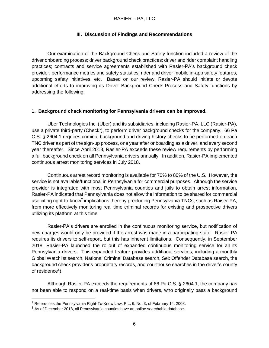#### **III. Discussion of Findings and Recommendations**

Our examination of the Background Check and Safety function included a review of the driver onboarding process; driver background check practices; driver and rider complaint handling practices; contracts and service agreements established with Rasier-PA's background check provider; performance metrics and safety statistics; rider and driver mobile in-app safety features; upcoming safety initiatives; etc. Based on our review, Rasier-PA should initiate or devote additional efforts to improving its Driver Background Check Process and Safety functions by addressing the following:

#### **1. Background check monitoring for Pennsylvania drivers can be improved.**

Uber Technologies Inc. (Uber) and its subsidiaries, including Rasier-PA, LLC (Rasier-PA), use a private third-party (Checkr), to perform driver background checks for the company. 66 Pa C.S. § 2604.1 requires criminal background and driving history checks to be performed on each TNC driver as part of the sign-up process, one year after onboarding as a driver, and every second year thereafter. Since April 2018, Rasier-PA exceeds these review requirements by performing a full background check on all Pennsylvania drivers annually. In addition, Rasier-PA implemented continuous arrest monitoring services in July 2018.

Continuous arrest record monitoring is available for 70% to 80% of the U.S. However, the service is not available/functional in Pennsylvania for commercial purposes. Although the service provider is integrated with most Pennsylvania counties and jails to obtain arrest information, Rasier-PA indicated that Pennsylvania does not allow the information to be shared for commercial use citing right-to-know<sup>7</sup> implications thereby precluding Pennsylvania TNCs, such as Raiser-PA, from more effectively monitoring real time criminal records for existing and prospective drivers utilizing its platform at this time.

Rasier-PA's drivers are enrolled in the continuous monitoring service, but notification of new charges would only be provided if the arrest was made in a participating state. Rasier-PA requires its drivers to self-report, but this has inherent limitations. Consequently, in September 2018, Rasier-PA launched the rollout of expanded continuous monitoring service for all its Pennsylvania drivers. This expanded feature provides additional services, including a monthly Global Watchlist search, National Criminal Database search, Sex Offender Database search, the background check provider's proprietary records, and courthouse searches in the driver's county of residence<sup>8</sup>).

Although Rasier-PA exceeds the requirements of 66 Pa C.S. § 2604.1, the company has not been able to respond on a real-time basis when drivers, who originally pass a background

 <sup>7</sup> References the Pennsylvania Right-To-Know Law, P.L. 6, No. 3, of February 14, 2008.

<sup>&</sup>lt;sup>8</sup> As of December 2018, all Pennsylvania counties have an online searchable database.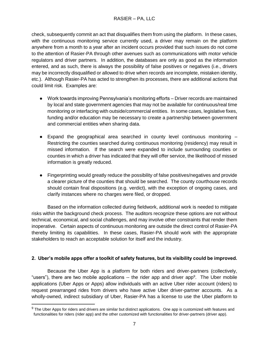check, subsequently commit an act that disqualifies them from using the platform. In these cases, with the continuous monitoring service currently used, a driver may remain on the platform anywhere from a month to a year after an incident occurs provided that such issues do not come to the attention of Rasier-PA through other avenues such as communications with motor vehicle regulators and driver partners. In addition, the databases are only as good as the information entered, and as such, there is always the possibility of false positives or negatives (i.e., drivers may be incorrectly disqualified or allowed to drive when records are incomplete, mistaken identity, etc.). Although Rasier-PA has acted to strengthen its processes, there are additional actions that could limit risk. Examples are:

- Work towards improving Pennsylvania's monitoring efforts Driver records are maintained by local and state government agencies that may not be available for continuous/real time monitoring or interfacing with outside/commercial entities. In some cases, legislative fixes, funding and/or education may be necessary to create a partnership between government and commercial entities when sharing data.
- $\bullet$  Expand the geographical area searched in county level continuous monitoring  $-$ Restricting the counties searched during continuous monitoring (residency) may result in missed information. If the search were expanded to include surrounding counties or counties in which a driver has indicated that they will offer service, the likelihood of missed information is greatly reduced.
- Fingerprinting would greatly reduce the possibility of false positives/negatives and provide a clearer picture of the counties that should be searched. The county courthouse records should contain final dispositions (e.g. verdict), with the exception of ongoing cases, and clarify instances where no charges were filed, or dropped.

Based on the information collected during fieldwork, additional work is needed to mitigate risks within the background check process. The auditors recognize these options are not without technical, economical, and social challenges, and may involve other constraints that render them inoperative. Certain aspects of continuous monitoring are outside the direct control of Rasier-PA thereby limiting its capabilities. In these cases, Rasier-PA should work with the appropriate stakeholders to reach an acceptable solution for itself and the industry.

#### **2. Uber's mobile apps offer a toolkit of safety features, but its visibility could be improved.**

 Because the Uber App is a platform for both riders and driver-partners (collectively, "users"), there are two mobile applications -- the rider app and driver app<sup>9</sup>. The Uber mobile applications (Uber Apps or Apps) allow individuals with an active Uber rider account (riders) to request prearranged rides from drivers who have active Uber driver-partner accounts. As a wholly-owned, indirect subsidiary of Uber, Rasier-PA has a license to use the Uber platform to

 $9$  The Uber Apps for riders and drivers are similar but distinct applications. One app is customized with features and functionalities for riders (rider app) and the other customized with functionalities for driver-partners (driver app).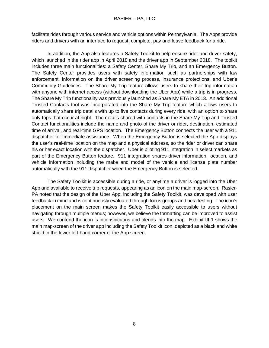facilitate rides through various service and vehicle options within Pennsylvania. The Apps provide riders and drivers with an interface to request, complete, pay and leave feedback for a ride.

In addition, the App also features a Safety Toolkit to help ensure rider and driver safety, which launched in the rider app in April 2018 and the driver app in September 2018. The toolkit includes three main functionalities: a Safety Center, Share My Trip, and an Emergency Button. The Safety Center provides users with safety information such as partnerships with law enforcement, information on the driver screening process, insurance protections, and Uber's Community Guidelines. The Share My Trip feature allows users to share their trip information with anyone with internet access (without downloading the Uber App) while a trip is in progress. The Share My Trip functionality was previously launched as Share My ETA in 2013. An additional Trusted Contacts tool was incorporated into the Share My Trip feature which allows users to automatically share trip details with up to five contacts during every ride, with an option to share only trips that occur at night. The details shared with contacts in the Share My Trip and Trusted Contact functionalities include the name and photo of the driver or rider, destination, estimated time of arrival, and real-time GPS location. The Emergency Button connects the user with a 911 dispatcher for immediate assistance. When the Emergency Button is selected the App displays the user's real-time location on the map and a physical address, so the rider or driver can share his or her exact location with the dispatcher. Uber is piloting 911 integration in select markets as part of the Emergency Button feature. 911 integration shares driver information, location, and vehicle information including the make and model of the vehicle and license plate number automatically with the 911 dispatcher when the Emergency Button is selected.

The Safety Toolkit is accessible during a ride, or anytime a driver is logged into the Uber App and available to receive trip requests, appearing as an icon on the main map-screen. Rasier-PA noted that the design of the Uber App, including the Safety Toolkit, was developed with user feedback in mind and is continuously evaluated through focus groups and beta testing. The icon's placement on the main screen makes the Safety Toolkit easily accessible to users without navigating through multiple menus; however, we believe the formatting can be improved to assist users. We contend the icon is inconspicuous and blends into the map. Exhibit III-1 shows the main map-screen of the driver app including the Safety Toolkit icon, depicted as a black and white shield in the lower left-hand corner of the App screen.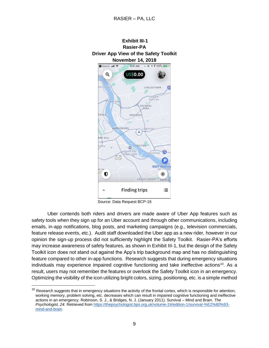

Source: Data Request BCP-16

Uber contends both riders and drivers are made aware of Uber App features such as safety tools when they sign up for an Uber account and through other communications, including emails, in-app notifications, blog posts, and marketing campaigns (e.g., television commercials, feature release events, etc.). Audit staff downloaded the Uber app as a new rider, however in our opinion the sign-up process did not sufficiently highlight the Safety Toolkit. Rasier-PA's efforts may increase awareness of safety features, as shown in Exhibit III-1, but the design of the Safety Toolkit icon does not stand out against the App's trip background map and has no distinguishing feature compared to other in-app functions. Research suggests that during emergency situations individuals may experience impaired cognitive functioning and take ineffective actions<sup>10</sup>. As a result, users may not remember the features or overlook the Safety Toolkit icon in an emergency. Optimizing the visibility of the icon utilizing bright colors, sizing, positioning, etc. is a simple method

 $10$  Research suggests that in emergency situations the activity of the frontal cortex, which is responsible for attention, working memory, problem solving, etc. decreases which can result in impaired cognitive functioning and ineffective actions in an emergency. Robinson, S. J., & Bridges, N. J. (January 2011). Survival – Mind and Brain. *The Psychologist, 24.* Retrieved from [https://thepsychologist.bps.org.uk/volume-24/edition-1/survival-%E2%80%93](https://thepsychologist.bps.org.uk/volume-24/edition-1/survival-%E2%80%93-mind-and-brain) [mind-and-brain](https://thepsychologist.bps.org.uk/volume-24/edition-1/survival-%E2%80%93-mind-and-brain)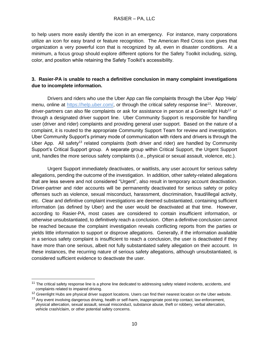to help users more easily identify the icon in an emergency. For instance, many corporations utilize an icon for easy brand or feature recognition. The American Red Cross icon gives that organization a very powerful icon that is recognized by all, even in disaster conditions. At a minimum, a focus group should explore different options for the Safety Toolkit including, sizing, color, and position while retaining the Safety Toolkit's accessibility.

#### **3. Rasier-PA is unable to reach a definitive conclusion in many complaint investigations due to incomplete information.**

 Drivers and riders who use the Uber App can file complaints through the Uber App 'Help' menu, online at https://help.uber.com/, or through the critical safety response line<sup>11</sup>. Moreover, driver-partners can also file complaints or ask for assistance in person at a Greenlight Hub<sup>12</sup> or through a designated driver support line. Uber Community Support is responsible for handling user (driver and rider) complaints and providing general user support. Based on the nature of a complaint, it is routed to the appropriate Community Support Team for review and investigation. Uber Community Support's primary mode of communication with riders and drivers is through the Uber App. All safety<sup>13</sup> related complaints (both driver and rider) are handled by Community Support's Critical Support group. A separate group within Critical Support, the Urgent Support unit, handles the more serious safety complaints (i.e., physical or sexual assault, violence, etc.).

Urgent Support immediately deactivates, or waitlists, any user account for serious safety allegations, pending the outcome of the investigation. In addition, other safety-related allegations that are less severe and not considered "Urgent", also result in temporary account deactivation. Driver-partner and rider accounts will be permanently deactivated for serious safety or policy offenses such as violence, sexual misconduct, harassment, discrimination, fraud/illegal activity, etc. Clear and definitive complaint investigations are deemed substantiated, containing sufficient information (as defined by Uber) and the user would be deactivated at that time. However, according to Rasier-PA, most cases are considered to contain insufficient information, or otherwise unsubstantiated, to definitively reach a conclusion. Often a definitive conclusion cannot be reached because the complaint investigation reveals conflicting reports from the parties or yields little information to support or disprove allegations. Generally, if the information available in a serious safety complaint is insufficient to reach a conclusion, the user is deactivated if they have more than one serious, albeit not fully substantiated safety allegation on their account. In these instances, the recurring nature of serious safety allegations, although unsubstantiated, is considered sufficient evidence to deactivate the user.

 $11$  The critical safety response line is a phone line dedicated to addressing safety related incidents, accidents, and complaints related to impaired driving.

<sup>&</sup>lt;sup>12</sup> Greenlight Hubs are physical driver support locations. Users can find their nearest location on the Uber website.

<sup>&</sup>lt;sup>13</sup> Any event involving dangerous driving, health or self-harm, inappropriate post-trip contact, law enforcement, physical altercation, sexual assault, sexual misconduct, substance abuse, theft or robbery, verbal altercation, vehicle crash/claim, or other potential safety concerns.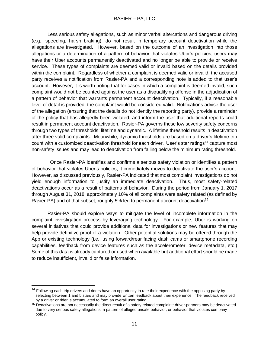Less serious safety allegations, such as minor verbal altercations and dangerous driving (e.g., speeding, harsh braking), do not result in temporary account deactivation while the allegations are investigated. However, based on the outcome of an investigation into those allegations or a determination of a pattern of behavior that violates Uber's policies, users may have their Uber accounts permanently deactivated and no longer be able to provide or receive service. These types of complaints are deemed valid or invalid based on the details provided within the complaint. Regardless of whether a complaint is deemed valid or invalid, the accused party receives a notification from Rasier-PA and a corresponding note is added to that user's account. However, it is worth noting that for cases in which a complaint is deemed invalid, such complaint would not be counted against the user as a disqualifying offense in the adjudication of a pattern of behavior that warrants permanent account deactivation. Typically, if a reasonable level of detail is provided, the complaint would be considered valid. Notifications advise the user of the allegation (ensuring that the details do not identify the reporting party), provide a reminder of the policy that has allegedly been violated, and inform the user that additional reports could result in permanent account deactivation. Rasier-PA governs these low severity safety concerns through two types of thresholds: lifetime and dynamic. A lifetime threshold results in deactivation after three valid complaints. Meanwhile, dynamic thresholds are based on a driver's lifetime trip count with a customized deactivation threshold for each driver. User's star ratings<sup>14</sup> capture most non-safety issues and may lead to deactivation from falling below the minimum rating threshold.

 Once Rasier-PA identifies and confirms a serious safety violation or identifies a pattern of behavior that violates Uber's policies, it immediately moves to deactivate the user's account. However, as discussed previously, Rasier-PA indicated that most complaint investigations do not yield enough information to justify an immediate deactivation. Thus, most safety-related deactivations occur as a result of patterns of behavior. During the period from January 1, 2017 through August 31, 2018, approximately 10% of all complaints were safety related (as defined by Rasier-PA) and of that subset, roughly 5% led to permanent account deactivation<sup>15</sup>.

Rasier-PA should explore ways to mitigate the level of incomplete information in the complaint investigation process by leveraging technology. For example, Uber is working on several initiatives that could provide additional data for investigations or new features that may help provide definitive proof of a violation. Other potential solutions may be offered through the App or existing technology (i.e., using forward/rear facing dash cams or smartphone recording capabilities, feedback from device features such as the accelerometer, device metadata, etc.) Some of this data is already captured or used when available but additional effort should be made to reduce insufficient, invalid or false information.

 $14$  Following each trip drivers and riders have an opportunity to rate their experience with the opposing party by selecting between 1 and 5 stars and may provide written feedback about their experience. The feedback received by a driver or rider is accumulated to form an overall user rating.

<sup>&</sup>lt;sup>15</sup> Deactivations are not necessarily the direct result of a safety related complaint: driver-partners may be deactivated due to very serious safety allegations, a pattern of alleged unsafe behavior, or behavior that violates company policy.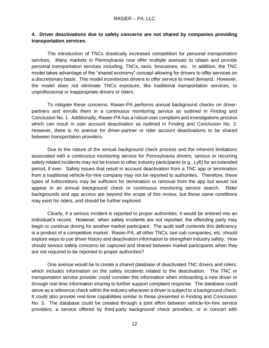#### **4. Driver deactivations due to safety concerns are not shared by companies providing transportation services.**

The introduction of TNCs drastically increased competition for personal transportation services. Many markets in Pennsylvania now offer multiple avenues to obtain and provide personal transportation services including, TNCs, taxis, limousines, etc. In addition, the TNC model takes advantage of the "shared economy" concept allowing for drivers to offer services on a discretionary basis. This model incentivizes drivers to offer service to meet demand. However, the model does not eliminate TNCs exposure, like traditional transportation services, to unprofessional or inappropriate drivers or riders.

To mitigate these concerns, Rasier-PA performs annual background checks on driverpartners and enrolls them in a continuous monitoring service as outlined in Finding and Conclusion No. 1. Additionally, Rasier-PA has a robust user complaint and investigations process which can result in user account deactivation as outlined in Finding and Conclusion No. 3. However, there is no avenue for driver-partner or rider account deactivations to be shared between transportation providers.

Due to the nature of the annual background check process and the inherent limitations associated with a continuous monitoring service for Pennsylvania drivers, serious or recurring safety related incidents may not be known to other industry participants (e.g., Lyft) for an extended period, if ever. Safety issues that result in account deactivation from a TNC app or termination from a traditional vehicle-for-hire company may not be reported to authorities. Therefore, these types of indiscretions may be sufficient for termination or removal from the app but would not appear in an annual background check or continuous monitoring service search. Rider backgrounds and app access are beyond the scope of this review, but these same conditions may exist for riders, and should be further explored.

Clearly, if a serious incident is reported to proper authorities, it would be entered into an individual's record. However, when safety incidents are not reported, the offending party may begin or continue driving for another market participant. The audit staff contends this deficiency is a product of a competitive market. Rasier-PA, all other TNCs, taxi cab companies, etc. should explore ways to use driver history and deactivation information to strengthen industry safety. How should serious safety concerns be captured and shared between market participants when they are not required to be reported to proper authorities?

One avenue would be to create a shared database of deactivated TNC drivers and riders, which includes information on the safety incidents related to the deactivation. The TNC or transportation service provider could consider this information when onboarding a new driver or through real time information sharing to further support complaint response. The database could serve as a reference check within the industry whenever a driver is subject to a background check. It could also provide real-time capabilities similar to those presented in Finding and Conclusion No. 3. The database could be created through a joint effort between vehicle-for-hire service providers, a service offered by third-party background check providers, or in concert with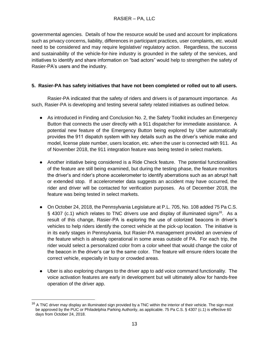governmental agencies. Details of how the resource would be used and account for implications such as privacy concerns, liability, differences in participant practices, user complaints, etc. would need to be considered and may require legislative/ regulatory action. Regardless, the success and sustainability of the vehicle-for-hire industry is grounded in the safety of the services, and initiatives to identify and share information on "bad actors" would help to strengthen the safety of Rasier-PA's users and the industry.

#### **5. Rasier-PA has safety initiatives that have not been completed or rolled out to all users.**

Rasier-PA indicated that the safety of riders and drivers is of paramount importance. As such, Rasier-PA is developing and testing several safety related initiatives as outlined below.

- As introduced in Finding and Conclusion No. 2, the Safety Toolkit includes an Emergency Button that connects the user directly with a 911 dispatcher for immediate assistance. A potential new feature of the Emergency Button being explored by Uber automatically provides the 911 dispatch system with key details such as the driver's vehicle make and model, license plate number, users location, etc. when the user is connected with 911. As of November 2018, the 911 integration feature was being tested in select markets.
- Another initiative being considered is a Ride Check feature. The potential functionalities of the feature are still being examined, but during the testing phase, the feature monitors the driver's and rider's phone accelerometer to identify aberrations such as an abrupt halt or extended stop. If accelerometer data suggests an accident may have occurred, the rider and driver will be contacted for verification purposes. As of December 2018, the feature was being tested in select markets.
- On October 24, 2018, the Pennsylvania Legislature at P.L. 705, No. 108 added 75 Pa C.S. § 4307 (c.1) which relates to TNC drivers use and display of illuminated signs<sup>16</sup>. As a result of this change, Rasier-PA is exploring the use of colorized beacons in driver's vehicles to help riders identify the correct vehicle at the pick-up location. The initiative is in its early stages in Pennsylvania, but Rasier-PA management provided an overview of the feature which is already operational in some areas outside of PA. For each trip, the rider would select a personalized color from a color wheel that would change the color of the beacon in the driver's car to the same color. The feature will ensure riders locate the correct vehicle, especially in busy or crowded areas.
- Uber is also exploring changes to the driver app to add voice command functionality. The voice activation features are early in development but will ultimately allow for hands-free operation of the driver app.

 $16$  A TNC driver may display an illuminated sign provided by a TNC within the interior of their vehicle. The sign must be approved by the PUC or Philadelphia Parking Authority, as applicable. 75 Pa C.S. § 4307 (c.1) is effective 60 days from October 24, 2018.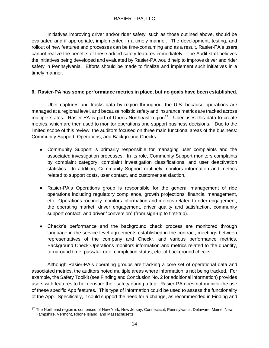Initiatives improving driver and/or rider safety, such as those outlined above, should be evaluated and if appropriate, implemented in a timely manner. The development, testing, and rollout of new features and processes can be time-consuming and as a result, Rasier-PA's users cannot realize the benefits of these added safety features immediately. The Audit staff believes the initiatives being developed and evaluated by Rasier-PA would help to improve driver and rider safety in Pennsylvania. Efforts should be made to finalize and implement such initiatives in a timely manner.

#### **6. Rasier-PA has some performance metrics in place, but no goals have been established.**

 Uber captures and tracks data by region throughout the U.S. because operations are managed at a regional level, and because holistic safety and insurance metrics are tracked across multiple states. Rasier-PA is part of Uber's Northeast region<sup>17</sup>. Uber uses this data to create metrics, which are then used to monitor operations and support business decisions. Due to the limited scope of this review, the auditors focused on three main functional areas of the business: Community Support, Operations, and Background Checks.

- Community Support is primarily responsible for managing user complaints and the associated investigation processes. In its role, Community Support monitors complaints by complaint category, complaint investigation classifications, and user deactivation statistics. In addition, Community Support routinely monitors information and metrics related to support costs, user contact, and customer satisfaction.
- Rasier-PA's Operations group is responsible for the general management of ride operations including regulatory compliance, growth projections, financial management, etc. Operations routinely monitors information and metrics related to rider engagement, the operating market, driver engagement, driver quality and satisfaction, community support contact, and driver "conversion" (from sign-up to first-trip).
- Checkr's performance and the background check process are monitored through language in the service level agreements established in the contract, meetings between representatives of the company and Checkr, and various performance metrics. Background Check Operations monitors information and metrics related to the quantity, turnaround time, pass/fail rate, completion status, etc. of background checks.

 Although Rasier-PA's operating groups are tracking a core set of operational data and associated metrics, the auditors noted multiple areas where information is not being tracked. For example, the Safety Toolkit (see Finding and Conclusion No. 2 for additional information) provides users with features to help ensure their safety during a trip. Rasier-PA does not monitor the use of these specific App features. This type of information could be used to assess the functionality of the App. Specifically, it could support the need for a change, as recommended in Finding and

 <sup>17</sup> The Northeast region is comprised of New York, New Jersey, Connecticut, Pennsylvania, Delaware, Maine, New Hampshire, Vermont, Rhone Island, and Massachusetts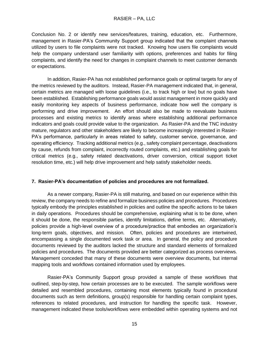Conclusion No. 2 or identify new services/features, training, education, etc. Furthermore, management in Rasier-PA's Community Support group indicated that the complaint channels utilized by users to file complaints were not tracked. Knowing how users file complaints would help the company understand user familiarity with options, preferences and habits for filing complaints, and identify the need for changes in complaint channels to meet customer demands or expectations.

In addition, Rasier-PA has not established performance goals or optimal targets for any of the metrics reviewed by the auditors. Instead, Rasier-PA management indicated that, in general, certain metrics are managed with loose guidelines (i.e., to track high or low) but no goals have been established. Establishing performance goals would assist management in more quickly and easily monitoring key aspects of business performance, indicate how well the company is performing and drive improvement. An effort should also be made to reevaluate business processes and existing metrics to identify areas where establishing additional performance indicators and goals could provide value to the organization. As Rasier-PA and the TNC industry mature, regulators and other stakeholders are likely to become increasingly interested in Rasier-PA's performance, particularly in areas related to safety, customer service, governance, and operating efficiency. Tracking additional metrics (e.g., safety complaint percentage, deactivations by cause, refunds from complaint, incorrectly routed complaints, etc.) and establishing goals for critical metrics (e.g., safety related deactivations, driver conversion, critical support ticket resolution time, etc.) will help drive improvement and help satisfy stakeholder needs.

#### **7. Rasier-PA's documentation of policies and procedures are not formalized.**

 As a newer company, Rasier-PA is still maturing, and based on our experience within this review, the company needs to refine and formalize business policies and procedures. Procedures typically embody the principles established in policies and outline the specific actions to be taken in daily operations. Procedures should be comprehensive, explaining what is to be done, when it should be done, the responsible parties, identify limitations, define terms, etc. Alternatively, policies provide a high-level overview of a procedure/practice that embodies an organization's long-term goals, objectives, and mission. Often, policies and procedures are intertwined, encompassing a single documented work task or area. In general, the policy and procedure documents reviewed by the auditors lacked the structure and standard elements of formalized policies and procedures. The documents provided are better categorized as process overviews. Management conceded that many of these documents were overview documents, but internal mapping tools and workflows contained information used by employees.

Rasier-PA's Community Support group provided a sample of these workflows that outlined, step-by-step, how certain processes are to be executed. The sample workflows were detailed and resembled procedures, containing most elements typically found in procedural documents such as term definitions, group(s) responsible for handling certain complaint types, references to related procedures, and instruction for handling the specific task. However, management indicated these tools/workflows were embedded within operating systems and not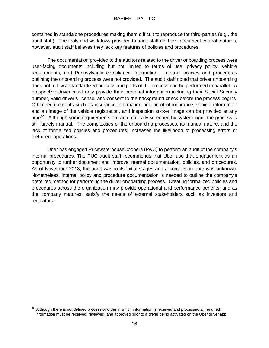contained in standalone procedures making them difficult to reproduce for third-parties (e.g., the audit staff). The tools and workflows provided to audit staff did have document control features; however, audit staff believes they lack key features of policies and procedures.

 The documentation provided to the auditors related to the driver onboarding process were user-facing documents including but not limited to terms of use, privacy policy, vehicle requirements, and Pennsylvania compliance information. Internal policies and procedures outlining the onboarding process were not provided. The audit staff noted that driver onboarding does not follow a standardized process and parts of the process can be performed in parallel. A prospective driver must only provide their personal information including their Social Security number, valid driver's license, and consent to the background check before the process begins. Other requirements such as insurance information and proof of insurance, vehicle information and an image of the vehicle registration, and inspection sticker image can be provided at any time<sup>18</sup>. Although some requirements are automatically screened by system logic, the process is still largely manual. The complexities of the onboarding processes, its manual nature, and the lack of formalized policies and procedures, increases the likelihood of processing errors or inefficient operations.

Uber has engaged PricewaterhouseCoopers (PwC) to perform an audit of the company's internal procedures. The PUC audit staff recommends that Uber use that engagement as an opportunity to further document and improve internal documentation, policies, and procedures. As of November 2018, the audit was in its initial stages and a completion date was unknown. Nonetheless, internal policy and procedure documentation is needed to outline the company's preferred method for performing the driver onboarding process. Creating formalized policies and procedures across the organization may provide operational and performance benefits, and as the company matures, satisfy the needs of external stakeholders such as investors and regulators.

<sup>&</sup>lt;sup>18</sup> Although there is not defined process or order in which information is received and processed all required information must be received, reviewed, and approved prior to a driver being activated on the Uber driver app.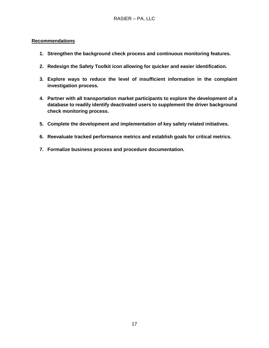#### **Recommendations**

- **1. Strengthen the background check process and continuous monitoring features.**
- **2. Redesign the Safety Toolkit icon allowing for quicker and easier identification.**
- **3. Explore ways to reduce the level of insufficient information in the complaint investigation process.**
- **4. Partner with all transportation market participants to explore the development of a database to readily identify deactivated users to supplement the driver background check monitoring process.**
- **5. Complete the development and implementation of key safety related initiatives.**
- **6. Reevaluate tracked performance metrics and establish goals for critical metrics.**
- **7. Formalize business process and procedure documentation.**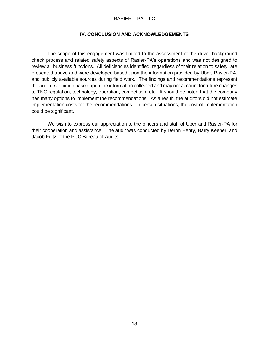#### RASIER – PA, LLC

#### **IV. CONCLUSION AND ACKNOWLEDGEMENTS**

 The scope of this engagement was limited to the assessment of the driver background check process and related safety aspects of Rasier-PA's operations and was not designed to review all business functions. All deficiencies identified, regardless of their relation to safety, are presented above and were developed based upon the information provided by Uber, Rasier-PA, and publicly available sources during field work. The findings and recommendations represent the auditors' opinion based upon the information collected and may not account for future changes to TNC regulation, technology, operation, competition, etc. It should be noted that the company has many options to implement the recommendations. As a result, the auditors did not estimate implementation costs for the recommendations. In certain situations, the cost of implementation could be significant.

We wish to express our appreciation to the officers and staff of Uber and Rasier-PA for their cooperation and assistance. The audit was conducted by Deron Henry, Barry Keener, and Jacob Fultz of the PUC Bureau of Audits.